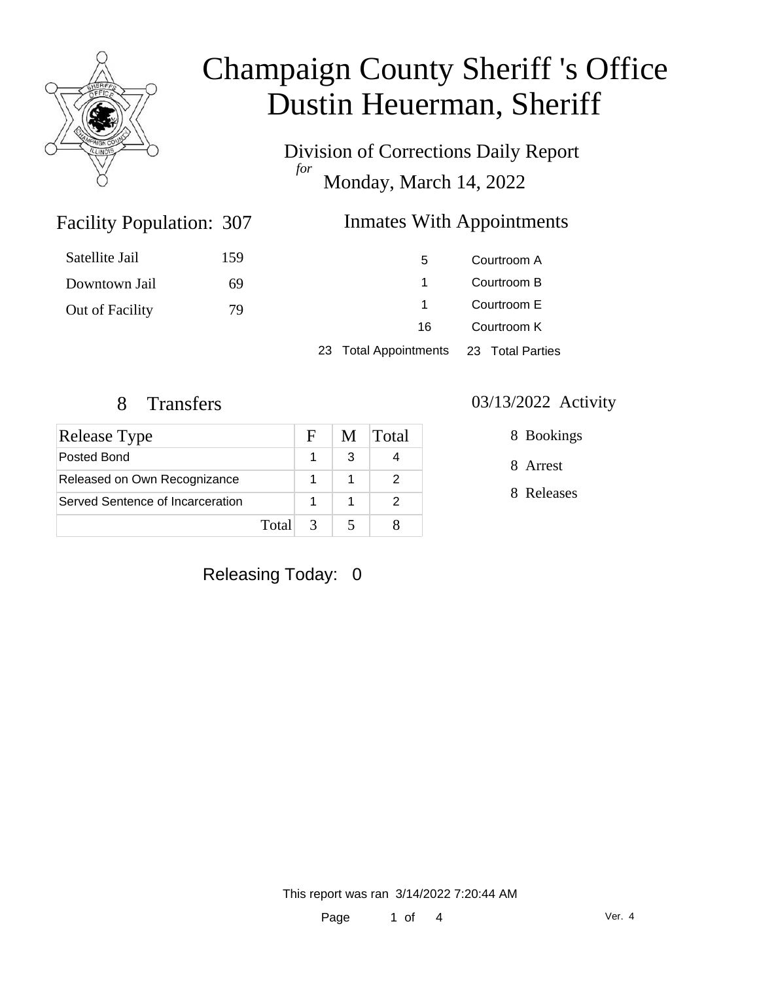

Division of Corrections Daily Report *for* Monday, March 14, 2022

### Inmates With Appointments

| Satellite Jail  | 159 | 5.                                     |             | Courtroom A |
|-----------------|-----|----------------------------------------|-------------|-------------|
| Downtown Jail   | 69  |                                        |             | Courtroom B |
| Out of Facility | 79  |                                        | Courtroom E |             |
|                 |     | 16                                     |             | Courtroom K |
|                 |     | 23 Total Appointments 23 Total Parties |             |             |

Facility Population: 307

| <b>Release Type</b>              |       | E.            | M | Total |
|----------------------------------|-------|---------------|---|-------|
| Posted Bond                      |       |               |   |       |
| Released on Own Recognizance     |       |               |   |       |
| Served Sentence of Incarceration |       |               |   |       |
|                                  | Total | $\mathcal{R}$ |   |       |

#### 8 Transfers 03/13/2022 Activity

8 Bookings

8 Arrest

8 Releases

### Releasing Today: 0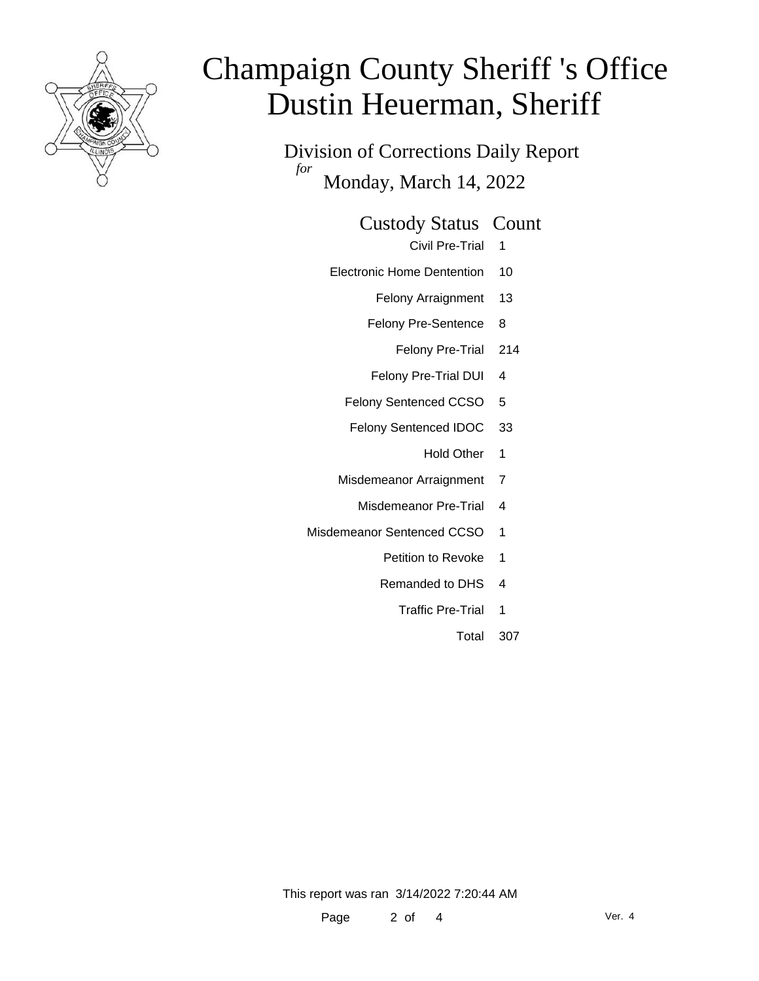

Division of Corrections Daily Report *for* Monday, March 14, 2022

Custody Status Count

Civil Pre-Trial 1

- Electronic Home Dentention 10
	- Felony Arraignment 13
	- Felony Pre-Sentence 8
		- Felony Pre-Trial 214
	- Felony Pre-Trial DUI 4
	- Felony Sentenced CCSO 5
	- Felony Sentenced IDOC 33
		- Hold Other 1
	- Misdemeanor Arraignment 7
		- Misdemeanor Pre-Trial 4
- Misdemeanor Sentenced CCSO 1
	- Petition to Revoke 1
	- Remanded to DHS 4
		- Traffic Pre-Trial 1
			- Total 307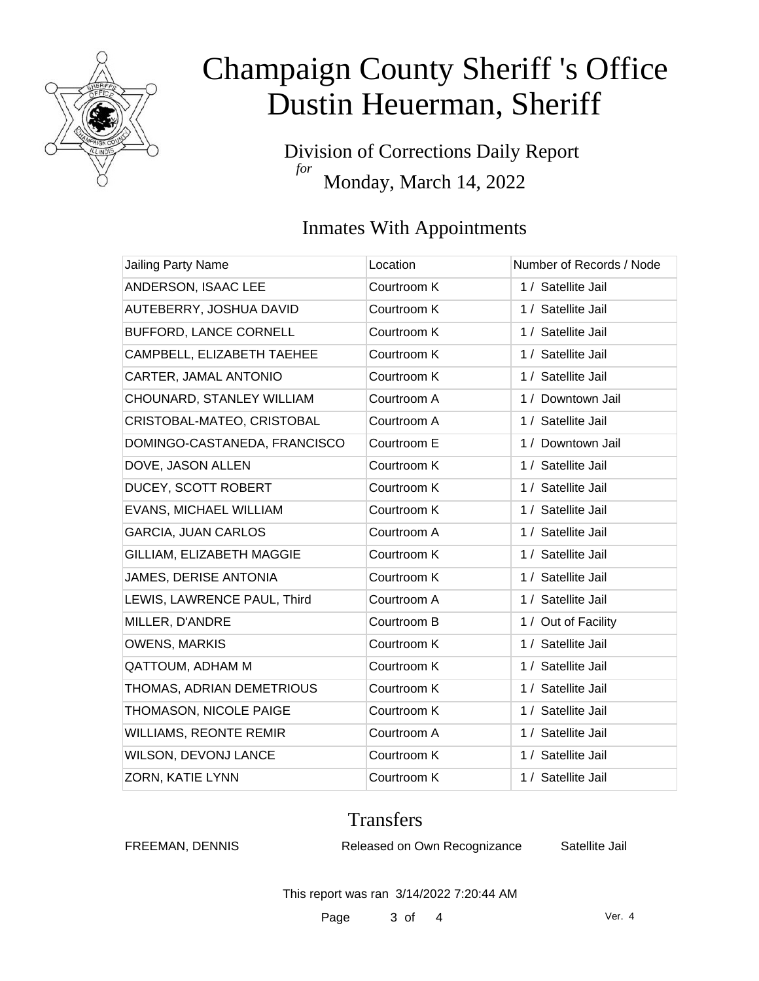

Division of Corrections Daily Report *for* Monday, March 14, 2022

### Inmates With Appointments

| Jailing Party Name            | Location    | Number of Records / Node |
|-------------------------------|-------------|--------------------------|
| ANDERSON, ISAAC LEE           | Courtroom K | 1 / Satellite Jail       |
| AUTEBERRY, JOSHUA DAVID       | Courtroom K | 1 / Satellite Jail       |
| BUFFORD, LANCE CORNELL        | Courtroom K | 1 / Satellite Jail       |
| CAMPBELL, ELIZABETH TAEHEE    | Courtroom K | 1 / Satellite Jail       |
| CARTER, JAMAL ANTONIO         | Courtroom K | 1 / Satellite Jail       |
| CHOUNARD, STANLEY WILLIAM     | Courtroom A | 1 / Downtown Jail        |
| CRISTOBAL-MATEO, CRISTOBAL    | Courtroom A | 1 / Satellite Jail       |
| DOMINGO-CASTANEDA, FRANCISCO  | Courtroom E | 1 / Downtown Jail        |
| DOVE, JASON ALLEN             | Courtroom K | 1 / Satellite Jail       |
| DUCEY, SCOTT ROBERT           | Courtroom K | 1 / Satellite Jail       |
| <b>EVANS, MICHAEL WILLIAM</b> | Courtroom K | 1 / Satellite Jail       |
| <b>GARCIA, JUAN CARLOS</b>    | Courtroom A | 1 / Satellite Jail       |
| GILLIAM, ELIZABETH MAGGIE     | Courtroom K | 1 / Satellite Jail       |
| JAMES, DERISE ANTONIA         | Courtroom K | 1 / Satellite Jail       |
| LEWIS, LAWRENCE PAUL, Third   | Courtroom A | 1 / Satellite Jail       |
| MILLER, D'ANDRE               | Courtroom B | 1 / Out of Facility      |
| <b>OWENS, MARKIS</b>          | Courtroom K | 1 / Satellite Jail       |
| QATTOUM, ADHAM M              | Courtroom K | 1 / Satellite Jail       |
| THOMAS, ADRIAN DEMETRIOUS     | Courtroom K | 1 / Satellite Jail       |
| THOMASON, NICOLE PAIGE        | Courtroom K | 1 / Satellite Jail       |
| <b>WILLIAMS, REONTE REMIR</b> | Courtroom A | 1 / Satellite Jail       |
| WILSON, DEVONJ LANCE          | Courtroom K | 1 / Satellite Jail       |
| ZORN, KATIE LYNN              | Courtroom K | 1 / Satellite Jail       |

#### **Transfers**

FREEMAN, DENNIS Released on Own Recognizance Satellite Jail